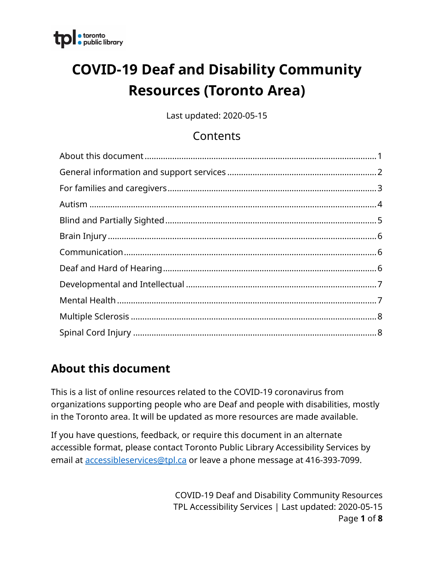# **COVID-19 Deaf and Disability Community Resources (Toronto Area)**

Last updated: 2020-05-15

### **Contents**

### <span id="page-0-0"></span>**About this document**

This is a list of online resources related to the COVID-19 coronavirus from organizations supporting people who are Deaf and people with disabilities, mostly in the Toronto area. It will be updated as more resources are made available.

If you have questions, feedback, or require this document in an alternate accessible format, please contact Toronto Public Library Accessibility Services by email at **accessibleservices@tpl.ca** or leave a phone message at 416-393-7099.

> COVID-19 Deaf and Disability Community Resources TPL Accessibility Services | Last updated: 2020-05-15 Page **1** of **8**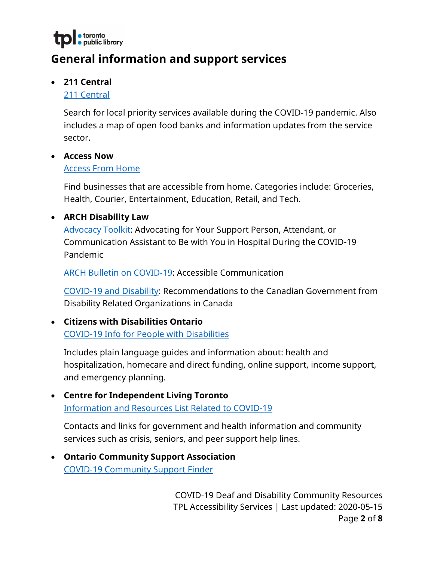

### <span id="page-1-0"></span>**General information and support services**

### **211 Central**

#### [211 Central](https://covid19.211central.ca/)

Search for local priority services available during the COVID-19 pandemic. Also includes a map of open food banks and information updates from the service sector.

#### **Access Now**

#### [Access From Home](https://accessnow.ca/accessfromhome/)

Find businesses that are accessible from home. Categories include: Groceries, Health, Courier, Entertainment, Education, Retail, and Tech.

#### **ARCH Disability Law**

[Advocacy Toolkit:](https://archdisabilitylaw.ca/resource/advocacy-toolkit-advocating-for-your-support-person-attendant-or-communication-assistant-to-be-with-you-in-hospital-during-the-covid-19-pandemic/) Advocating for Your Support Person, Attendant, or Communication Assistant to Be with You in Hospital During the COVID-19 Pandemic

[ARCH Bulletin on COVID-19:](https://archdisabilitylaw.ca/resource/covid-19-accessible-communication/) Accessible Communication

[COVID-19 and Disability:](https://archdisabilitylaw.ca/covid-19-and-disability-recommendations-to-the-canadian-government-from-disability-related-organizations-in-canada-march-24-2020/) Recommendations to the Canadian Government from Disability Related Organizations in Canada

### **Citizens with Disabilities Ontario** [COVID-19 Info for People with Disabilities](http://www.cwdo.org/node/640)

Includes plain language guides and information about: health and hospitalization, homecare and direct funding, online support, income support, and emergency planning.

 **Centre for Independent Living Toronto**  [Information and Resources List Related to COVID-19](https://www.cilt.ca/cilt-resources/information-and-resources-list-related-to-covid-19/) 

Contacts and links for government and health information and community services such as crisis, seniors, and peer support help lines.

 **Ontario Community Support Association** [COVID-19 Community Support Finder](https://www.ontariocommunitysupport.ca/)

> COVID-19 Deaf and Disability Community Resources TPL Accessibility Services | Last updated: 2020-05-15 Page **2** of **8**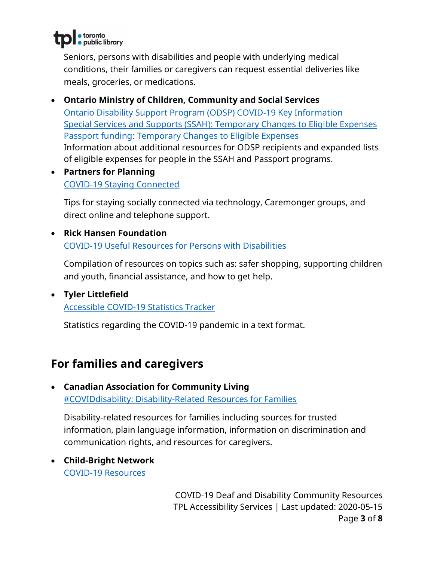

Seniors, persons with disabilities and people with underlying medical conditions, their families or caregivers can request essential deliveries like meals, groceries, or medications.

- **Ontario Ministry of Children, Community and Social Services** [Ontario Disability Support Program \(ODSP\) COVID-19 Key Information](https://mcss.gov.on.ca/en/mcss/programs/social/odsp/odsp-covid-fact-sheets.aspx) [Special Services and Supports \(SSAH\): Temporary Changes to Eligible Expenses](http://www.children.gov.on.ca/htdocs/English/specialneeds/specialservices.aspx) [Passport funding: Temporary Changes to Eligible Expenses](https://www.mcss.gov.on.ca/en/mcss/programs/developmental/serviceSupport/passport.aspx) Information about additional resources for ODSP recipients and expanded lists of eligible expenses for people in the SSAH and Passport programs.
- **Partners for Planning**  [COVID-19 Staying Connected](http://www.planningnetwork.ca/en-ca/resources/28241/COVID-19-Staying-Connected)

Tips for staying socially connected via technology, Caremonger groups, and direct online and telephone support.

 **Rick Hansen Foundation** [COVID-19 Useful Resources for Persons with Disabilities](https://www.rickhansen.com/news-stories/blog/covid-19-useful-resources-persons-disabilities)

Compilation of resources on topics such as: safer shopping, supporting children and youth, financial assistance, and how to get help.

 **Tyler Littlefield** [Accessible COVID-19 Statistics Tracker](https://cvstats.net/)

Statistics regarding the COVID-19 pandemic in a text format.

### <span id="page-2-0"></span>**For families and caregivers**

 **Canadian Association for Community Living** [#COVIDdisability: Disability-Related Resources for Families](https://cacl.ca/coviddisability/)

Disability-related resources for families including sources for trusted information, plain language information, information on discrimination and communication rights, and resources for caregivers.

 **Child-Bright Network** [COVID-19 Resources](https://www.child-bright.ca/covid-19-resources)

> COVID-19 Deaf and Disability Community Resources TPL Accessibility Services | Last updated: 2020-05-15 Page **3** of **8**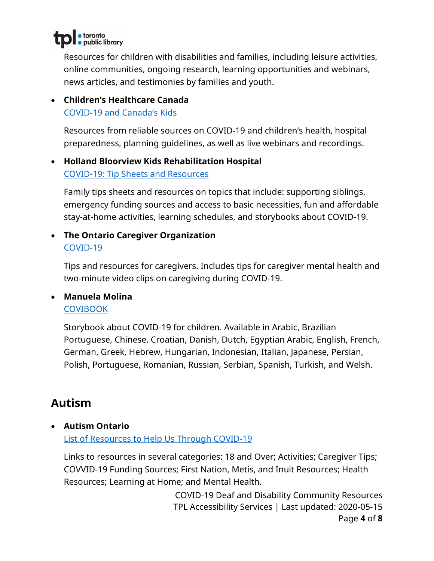

Resources for children with disabilities and families, including leisure activities, online communities, ongoing research, learning opportunities and webinars, news articles, and testimonies by families and youth.

### **Children's Healthcare Canada** COVID-[19 and Canada's Kids](https://www.childrenshealthcarecanada.ca/covid19-and-canadas-kids)

Resources from reliable sources on COVID-19 and children's health, hospital preparedness, planning guidelines, as well as live webinars and recordings.

### **Holland Bloorview Kids Rehabilitation Hospital** [COVID-19: Tip Sheets and Resources](https://www.hollandbloorview.ca/our-services/family-workshops-resources/covid-19-tip-sheets-and-resources)

Family tips sheets and resources on topics that include: supporting siblings, emergency funding sources and access to basic necessities, fun and affordable stay-at-home activities, learning schedules, and storybooks about COVID-19.

### **The Ontario Caregiver Organization** [COVID-19](https://ontariocaregiver.ca/covid-19/)

Tips and resources for caregivers. Includes tips for caregiver mental health and two-minute video clips on caregiving during COVID-19.

#### **Manuela Molina [COVIBOOK](https://www.mindheart.co/descargables)**

Storybook about COVID-19 for children. Available in Arabic, Brazilian Portuguese, Chinese, Croatian, Danish, Dutch, Egyptian Arabic, English, French, German, Greek, Hebrew, Hungarian, Indonesian, Italian, Japanese, Persian, Polish, Portuguese, Romanian, Russian, Serbian, Spanish, Turkish, and Welsh.

### <span id="page-3-0"></span>**Autism**

### **Autism Ontario**

[List of Resources to Help Us Through COVID-19](https://www.autismontario.com/list-resources-help-us-through-covid-19)

Links to resources in several categories: 18 and Over; Activities; Caregiver Tips; COVVID-19 Funding Sources; First Nation, Metis, and Inuit Resources; Health Resources; Learning at Home; and Mental Health.

> COVID-19 Deaf and Disability Community Resources TPL Accessibility Services | Last updated: 2020-05-15 Page **4** of **8**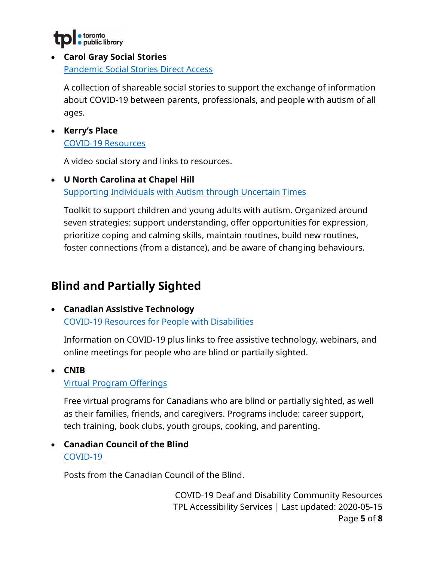

**Carol Gray Social Stories**

[Pandemic Social Stories Direct Access](https://carolgraysocialstories.com/pandemic-social-stories-direct-access/)

A collection of shareable social stories to support the exchange of information about COVID-19 between parents, professionals, and people with autism of all ages.

 **Kerry's Place** [COVID-19 Resources](https://www.kerrysplace.org/covid-19-resources/)

A video social story and links to resources.

 **U North Carolina at Chapel Hill** [Supporting Individuals with Autism through Uncertain Times](https://afirm.fpg.unc.edu/sites/afirm.fpg.unc.edu/files/covid-resources/Supporting%20Individuals%20with%20Autism%20through%20Uncertian%20Times%20Full%20Packet.pdf) 

Toolkit to support children and young adults with autism. Organized around seven strategies: support understanding, offer opportunities for expression, prioritize coping and calming skills, maintain routines, build new routines, foster connections (from a distance), and be aware of changing behaviours.

# <span id="page-4-0"></span>**Blind and Partially Sighted**

 **Canadian Assistive Technology** [COVID-19 Resources for People with Disabilities](https://canasstech.com/pages/covid-19-resources-for-people-with-disabilities) 

Information on COVID-19 plus links to free assistive technology, webinars, and online meetings for people who are blind or partially sighted.

**CNIB** 

[Virtual Program Offerings](https://cnib.ca/en/sight-loss-info/covid-19-resources/cnib-foundation-virtual-program-offerings?region=on) 

Free virtual programs for Canadians who are blind or partially sighted, as well as their families, friends, and caregivers. Programs include: career support, tech training, book clubs, youth groups, cooking, and parenting.

 **Canadian Council of the Blind** [COVID-19](http://ccbnational.net/shaggy/covid-19/)

Posts from the Canadian Council of the Blind.

COVID-19 Deaf and Disability Community Resources TPL Accessibility Services | Last updated: 2020-05-15 Page **5** of **8**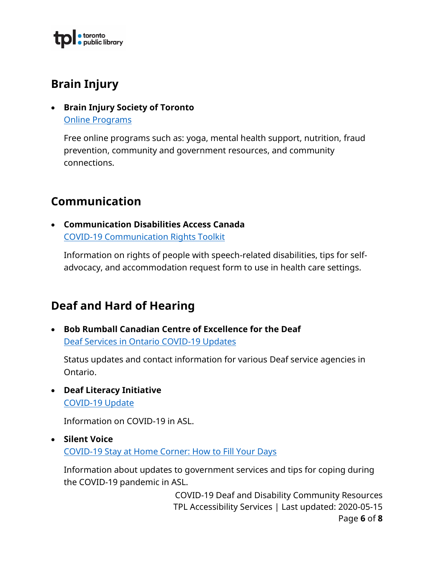# · toronto<br>• public library

# <span id="page-5-0"></span>**Brain Injury**

 **Brain Injury Society of Toronto**  [Online Programs](https://bist.ca/online-programs/) 

Free online programs such as: yoga, mental health support, nutrition, fraud prevention, community and government resources, and community connections.

## <span id="page-5-1"></span>**Communication**

 **Communication Disabilities Access Canada** [COVID-19 Communication Rights Toolkit](https://www.cdacanada.com/resources/covid-19/covid-19-communication-rights-toolkit/)

Information on rights of people with speech-related disabilities, tips for selfadvocacy, and accommodation request form to use in health care settings.

# <span id="page-5-2"></span>**Deaf and Hard of Hearing**

 **Bob Rumball Canadian Centre of Excellence for the Deaf** [Deaf Services in Ontario COVID-19 Updates](https://www2.bobrumball.org/2020/04/01/deaf-services-in-ontario-covid-19/) 

Status updates and contact information for various Deaf service agencies in Ontario.

 **Deaf Literacy Initiative**  [COVID-19 Update](https://www.deafliteracy.ca/covid-19-update)

Information on COVID-19 in ASL.

### **Silent Voice**  [COVID-19 Stay at Home Corner: How to Fill Your Days](https://www.silentvoice-covid19.com/blog/categories/silent-voice)

Information about updates to government services and tips for coping during the COVID-19 pandemic in ASL.

> COVID-19 Deaf and Disability Community Resources TPL Accessibility Services | Last updated: 2020-05-15 Page **6** of **8**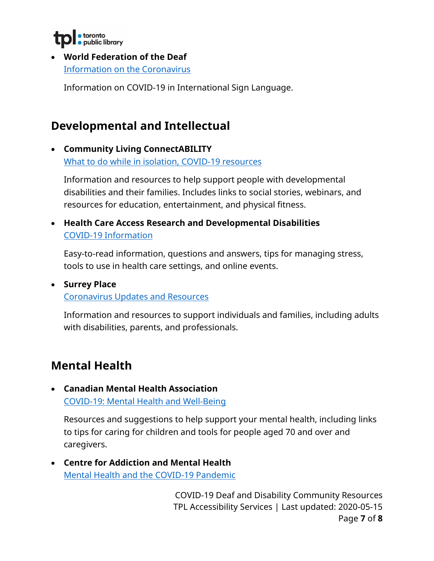

**World Federation of the Deaf**

[Information on the Coronavirus](https://mailchi.mp/wfd.fi/information-on-the-coronavirus?e=dc778e54da)

Information on COVID-19 in International Sign Language.

# <span id="page-6-0"></span>**Developmental and Intellectual**

#### **Community Living ConnectABILITY** [What to do while in isolation, COVID-19 resources](https://connectability.ca/what-to-do-while-in-isolation-covid-19-resources/)

Information and resources to help support people with developmental disabilities and their families. Includes links to social stories, webinars, and resources for education, entertainment, and physical fitness.

 **Health Care Access Research and Developmental Disabilities** [COVID-19 Information](https://www.hcarddcovid.com/info) 

Easy-to-read information, questions and answers, tips for managing stress, tools to use in health care settings, and online events.

**•** Surrey Place

[Coronavirus Updates and Resources](https://www.surreyplace.ca/resources-publications/coronavirus-updates-resources/)

Information and resources to support individuals and families, including adults with disabilities, parents, and professionals.

# <span id="page-6-1"></span>**Mental Health**

 **Canadian Mental Health Association** [COVID-19: Mental Health and Well-Being](https://cmha.ca/news/covid-19-and-mental-health)

Resources and suggestions to help support your mental health, including links to tips for caring for children and tools for people aged 70 and over and caregivers.

 **Centre for Addiction and Mental Health** [Mental Health and the COVID-19 Pandemic](https://www.camh.ca/en/health-info/mental-health-and-covid-19)

> COVID-19 Deaf and Disability Community Resources TPL Accessibility Services | Last updated: 2020-05-15 Page **7** of **8**